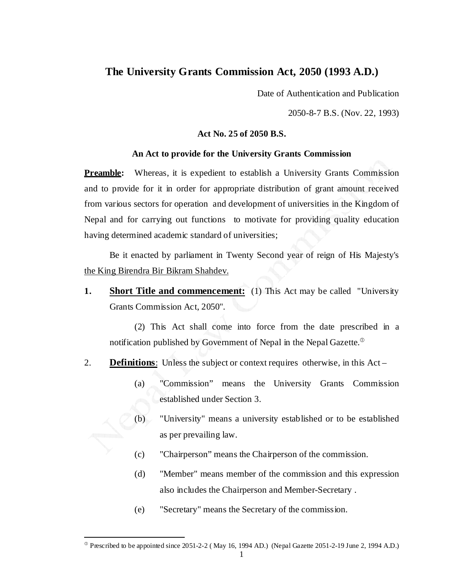## **The University Grants Commission Act, 2050 (1993 A.D.)**

Date of Authentication and Publication

2050-8-7 B.S. (Nov. 22, 1993)

## **Act No. 25 of 2050 B.S.**

## **An Act to provide for the University Grants Commission**

**Preamble:** Whereas, it is expedient to establish a University Grants Commission and to provide for it in order for appropriate distribution of grant amount received from various sectors for operation and development of universities in the Kingdom of Nepal and for carrying out functions to motivate for providing quality education having determined academic standard of universities;

 Be it enacted by parliament in Twenty Second year of reign of His Majesty's the King Birendra Bir Bikram Shahdev.

**1. Short Title and commencement:** (1) This Act may be called "University Grants Commission Act, 2050".

 (2) This Act shall come into force from the date prescribed in a notification published by Government of Nepal in the Nepal Gazette. $^{\circ}$ 

- 2. **Definitions**: Unless the subject or context requires otherwise, in this Act
	- (a) "Commission" means the University Grants Commission established under Section 3.
	- (b) "University" means a university established or to be established as per prevailing law.
	- (c) "Chairperson" means the Chairperson of the commission.
	- (d) "Member" means member of the commission and this expression also includes the Chairperson and Member-Secretary .
	- (e) "Secretary" means the Secretary of the commission.

i<br>L

 $^{\circ}$  Prescribed to be appointed since 2051-2-2 (May 16, 1994 AD.) (Nepal Gazette 2051-2-19 June 2, 1994 A.D.)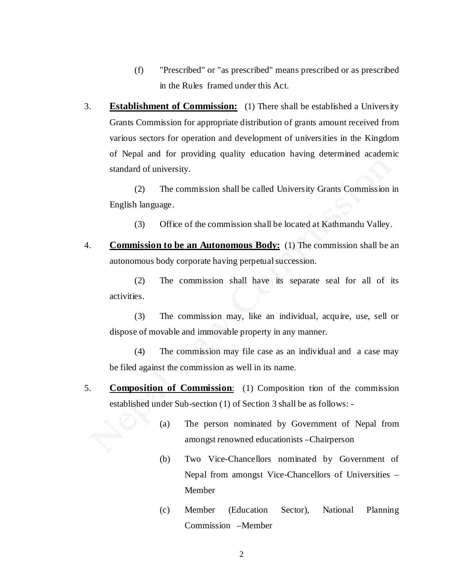- (f) "Prescribed" or "as prescribed" means prescribed or as prescribed in the Rules framed under this Act.
- 3. **Establishment of Commission:** (1) There shall be established a University Grants Commission for appropriate distribution of grants amount received from various sectors for operation and development of universities in the Kingdom of Nepal and for providing quality education having determined academic standard of university.

 (2) The commission shall be called University Grants Commission in English language.

- (3) Office of the commission shall be located at Kathmandu Valley.
- 4. **Commission to be an Autonomous Body:** (1) The commission shall be an autonomous body corporate having perpetual succession.

 (2) The commission shall have its separate seal for all of its activities.

 (3) The commission may, like an individual, acquire, use, sell or dispose of movable and immovable property in any manner.

 (4) The commission may file case as an individual and a case may be filed against the commission as well in its name.

- 5. **Composition of Commission**: (1) Composition tion of the commission established under Sub-section (1) of Section 3 shall be as follows: -
	- (a) The person nominated by Government of Nepal from amongst renowned educationists –Chairperson
	- (b) Two Vice-Chancellors nominated by Government of Nepal from amongst Vice-Chancellors of Universities – Member
	- (c) Member (Education Sector), National Planning Commission –Member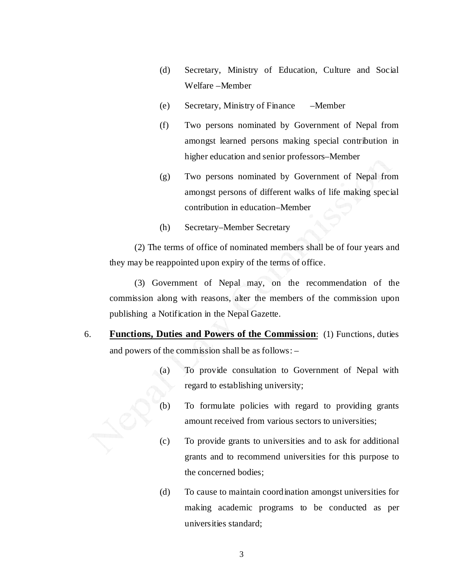- (d) Secretary, Ministry of Education, Culture and Social Welfare –Member
- (e) Secretary, Ministry of Finance –Member
- (f) Two persons nominated by Government of Nepal from amongst learned persons making special contribution in higher education and senior professors–Member
- (g) Two persons nominated by Government of Nepal from amongst persons of different walks of life making special contribution in education–Member
- (h) Secretary–Member Secretary

 (2) The terms of office of nominated members shall be of four years and they may be reappointed upon expiry of the terms of office.

 (3) Government of Nepal may, on the recommendation of the commission along with reasons, alter the members of the commission upon publishing a Notification in the Nepal Gazette.

- 6. **Functions, Duties and Powers of the Commission**: (1) Functions, duties and powers of the commission shall be as follows: –
	- (a) To provide consultation to Government of Nepal with regard to establishing university;
	- (b) To formulate policies with regard to providing grants amount received from various sectors to universities;
	- (c) To provide grants to universities and to ask for additional grants and to recommend universities for this purpose to the concerned bodies;
	- (d) To cause to maintain coordination amongst universities for making academic programs to be conducted as per universities standard;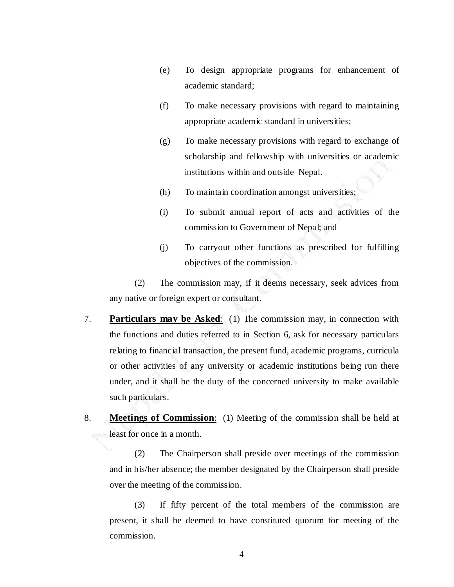- (e) To design appropriate programs for enhancement of academic standard;
- (f) To make necessary provisions with regard to maintaining appropriate academic standard in universities;
- (g) To make necessary provisions with regard to exchange of scholarship and fellowship with universities or academic institutions within and outside Nepal.
- (h) To maintain coordination amongst universities;
- (i) To submit annual report of acts and activities of the commission to Government of Nepal; and
- (j) To carryout other functions as prescribed for fulfilling objectives of the commission.

 (2) The commission may, if it deems necessary, seek advices from any native or foreign expert or consultant.

- 7. **Particulars may be Asked**: (1) The commission may, in connection with the functions and duties referred to in Section 6, ask for necessary particulars relating to financial transaction, the present fund, academic programs, curricula or other activities of any university or academic institutions being run there under, and it shall be the duty of the concerned university to make available such particulars.
- 8. **Meetings of Commission**: (1) Meeting of the commission shall be held at least for once in a month.

 (2) The Chairperson shall preside over meetings of the commission and in his/her absence; the member designated by the Chairperson shall preside over the meeting of the commission.

 (3) If fifty percent of the total members of the commission are present, it shall be deemed to have constituted quorum for meeting of the commission.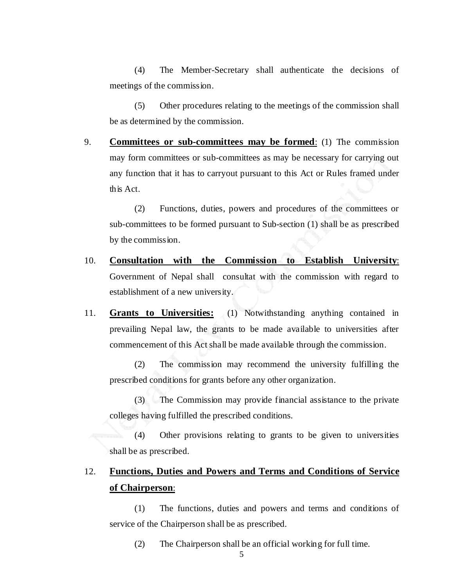(4) The Member-Secretary shall authenticate the decisions of meetings of the commission.

 (5) Other procedures relating to the meetings of the commission shall be as determined by the commission.

9. **Committees or sub-committees may be formed**: (1) The commission may form committees or sub-committees as may be necessary for carrying out any function that it has to carryout pursuant to this Act or Rules framed under this Act.

 (2) Functions, duties, powers and procedures of the committees or sub-committees to be formed pursuant to Sub-section (1) shall be as prescribed by the commission.

- 10. **Consultation with the Commission to Establish University**: Government of Nepal shall consultat with the commission with regard to establishment of a new university.
- 11. **Grants to Universities:** (1) Notwithstanding anything contained in prevailing Nepal law, the grants to be made available to universities after commencement of this Act shall be made available through the commission.

 (2) The commission may recommend the university fulfilling the prescribed conditions for grants before any other organization.

 (3) The Commission may provide financial assistance to the private colleges having fulfilled the prescribed conditions.

 (4) Other provisions relating to grants to be given to universities shall be as prescribed.

## 12. **Functions, Duties and Powers and Terms and Conditions of Service of Chairperson**:

 (1) The functions, duties and powers and terms and conditions of service of the Chairperson shall be as prescribed.

(2) The Chairperson shall be an official working for full time.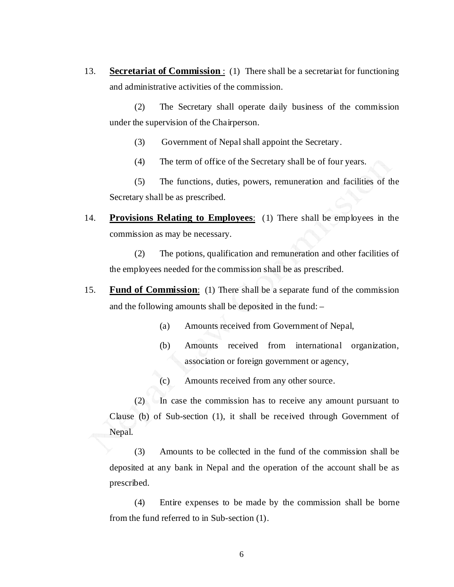13. **Secretariat of Commission** : (1) There shall be a secretariat for functioning and administrative activities of the commission.

 (2) The Secretary shall operate daily business of the commission under the supervision of the Chairperson.

- (3) Government of Nepal shall appoint the Secretary.
- (4) The term of office of the Secretary shall be of four years.

 (5) The functions, duties, powers, remuneration and facilities of the Secretary shall be as prescribed.

14. **Provisions Relating to Employees**: (1) There shall be employees in the commission as may be necessary.

 (2) The potions, qualification and remuneration and other facilities of the employees needed for the commission shall be as prescribed.

- 15. **Fund of Commission**: (1) There shall be a separate fund of the commission and the following amounts shall be deposited in the fund: –
	- (a) Amounts received from Government of Nepal,
	- (b) Amounts received from international organization, association or foreign government or agency,
	- (c) Amounts received from any other source.

 (2) In case the commission has to receive any amount pursuant to Clause (b) of Sub-section (1), it shall be received through Government of Nepal.

 (3) Amounts to be collected in the fund of the commission shall be deposited at any bank in Nepal and the operation of the account shall be as prescribed.

 (4) Entire expenses to be made by the commission shall be borne from the fund referred to in Sub-section (1).